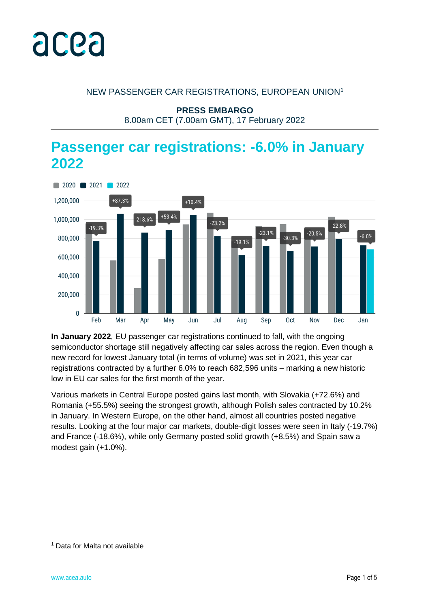

### NEW PASSENGER CAR REGISTRATIONS, EUROPEAN UNION<sup>1</sup>

**PRESS EMBARGO**

8.00am CET (7.00am GMT), 17 February 2022

# **Passenger car registrations: -6.0% in January 2022**



**In January 2022**, EU passenger car registrations continued to fall, with the ongoing semiconductor shortage still negatively affecting car sales across the region. Even though a new record for lowest January total (in terms of volume) was set in 2021, this year car registrations contracted by a further 6.0% to reach 682,596 units – marking a new historic low in EU car sales for the first month of the year.

Various markets in Central Europe posted gains last month, with Slovakia (+72.6%) and Romania (+55.5%) seeing the strongest growth, although Polish sales contracted by 10.2% in January. In Western Europe, on the other hand, almost all countries posted negative results. Looking at the four major car markets, double-digit losses were seen in Italy (-19.7%) and France (-18.6%), while only Germany posted solid growth (+8.5%) and Spain saw a modest gain (+1.0%).

<sup>1</sup> Data for Malta not available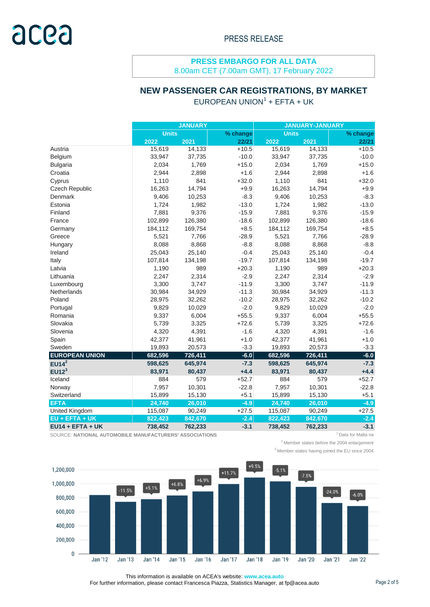8.00am CET (7.00am GMT), 17 February 2022

## **NEW PASSENGER CAR REGISTRATIONS, BY MARKET**

### $EUROPEAN UNION<sup>1</sup> + EFTA + UK$

|                       |              | <b>JANUARY</b> |          | <b>JANUARY-JANUARY</b> |         |          |  |  |
|-----------------------|--------------|----------------|----------|------------------------|---------|----------|--|--|
|                       | <b>Units</b> |                | % change | <b>Units</b>           |         | % change |  |  |
|                       | 2022         | 2021           | 22/21    | 2022                   | 2021    | 22/21    |  |  |
| Austria               | 15,619       | 14,133         | $+10.5$  | 15,619                 | 14,133  | $+10.5$  |  |  |
| Belgium               | 33,947       | 37,735         | $-10.0$  | 33,947                 | 37,735  | $-10.0$  |  |  |
| <b>Bulgaria</b>       | 2,034        | 1,769          | $+15.0$  | 2,034                  | 1,769   | $+15.0$  |  |  |
| Croatia               | 2,944        | 2,898          | $+1.6$   | 2,944                  | 2,898   | $+1.6$   |  |  |
| Cyprus                | 1,110        | 841            | $+32.0$  | 1,110                  | 841     | $+32.0$  |  |  |
| Czech Republic        | 16,263       | 14,794         | $+9.9$   | 16,263                 | 14,794  | $+9.9$   |  |  |
| Denmark               | 9,406        | 10,253         | $-8.3$   | 9,406                  | 10,253  | $-8.3$   |  |  |
| Estonia               | 1,724        | 1,982          | $-13.0$  | 1,724                  | 1,982   | $-13.0$  |  |  |
| Finland               | 7,881        | 9,376          | $-15.9$  | 7,881                  | 9,376   | $-15.9$  |  |  |
| France                | 102,899      | 126,380        | $-18.6$  | 102,899                | 126,380 | $-18.6$  |  |  |
| Germany               | 184,112      | 169,754        | $+8.5$   | 184,112                | 169,754 | $+8.5$   |  |  |
| Greece                | 5,521        | 7,766          | $-28.9$  | 5,521                  | 7,766   | $-28.9$  |  |  |
| Hungary               | 8,088        | 8,868          | $-8.8$   | 8,088                  | 8,868   | $-8.8$   |  |  |
| Ireland               | 25,043       | 25,140         | $-0.4$   | 25,043                 | 25,140  | $-0.4$   |  |  |
| Italy                 | 107,814      | 134,198        | $-19.7$  | 107,814                | 134,198 | $-19.7$  |  |  |
| Latvia                | 1,190        | 989            | $+20.3$  | 1,190                  | 989     | $+20.3$  |  |  |
| Lithuania             | 2,247        | 2,314          | $-2.9$   | 2,247                  | 2,314   | $-2.9$   |  |  |
| Luxembourg            | 3,300        | 3,747          | $-11.9$  | 3,300                  | 3,747   | $-11.9$  |  |  |
| Netherlands           | 30,984       | 34,929         | $-11.3$  | 30,984                 | 34,929  | $-11.3$  |  |  |
| Poland                | 28,975       | 32,262         | $-10.2$  | 28,975                 | 32,262  | $-10.2$  |  |  |
| Portugal              | 9,829        | 10,029         | $-2.0$   | 9,829                  | 10,029  | $-2.0$   |  |  |
| Romania               | 9,337        | 6,004          | $+55.5$  | 9,337                  | 6,004   | $+55.5$  |  |  |
| Slovakia              | 5,739        | 3,325          | $+72.6$  | 5,739                  | 3,325   | $+72.6$  |  |  |
| Slovenia              | 4,320        | 4,391          | $-1.6$   | 4,320                  | 4,391   | $-1.6$   |  |  |
| Spain                 | 42,377       | 41,961         | $+1.0$   | 42,377                 | 41,961  | $+1.0$   |  |  |
| Sweden                | 19,893       | 20,573         | $-3.3$   | 19,893                 | 20,573  | $-3.3$   |  |  |
| <b>EUROPEAN UNION</b> | 682,596      | 726,411        | $-6.0$   | 682,596                | 726,411 | $-6.0$   |  |  |
| $EU14^2$              | 598,625      | 645,974        | $-7.3$   | 598,625                | 645,974 | $-7.3$   |  |  |
| EUI2 <sup>3</sup>     | 83,971       | 80,437         | $+4.4$   | 83,971                 | 80,437  | $+4.4$   |  |  |
| Iceland               | 884          | 579            | $+52.7$  | 884                    | 579     | $+52.7$  |  |  |
| Norway                | 7,957        | 10,301         | $-22.8$  | 7,957                  | 10,301  | $-22.8$  |  |  |
| Switzerland           | 15,899       | 15,130         | $+5.1$   | 15,899                 | 15,130  | $+5.1$   |  |  |
| <b>EFTA</b>           | 24,740       | 26,010         | $-4.9$   | 24,740                 | 26,010  | $-4.9$   |  |  |
| United Kingdom        | 115,087      | 90,249         | $+27.5$  | 115,087                | 90,249  | $+27.5$  |  |  |
| EU + EFTA + UK        | 822,423      | 842,670        | $-2.4$   | 822,423                | 842,670 | $-2.4$   |  |  |
| $EU14 + EFTA + UK$    | 738,452      | 762,233        | $-3.1$   | 738,452                | 762,233 | $-3.1$   |  |  |

SOURCE: NATIONAL AUTOMOBILE MANUFACTURERS' ASSOCIATIONS **1 1 AU AUTOMOBILE MANUFACTURERS' ASSOCIATIONS 1**Data for Malta na

 $2$ Member states before the 2004 enlargement



This information is available on ACEA's website: **www.acea.auto** 

For further information, please contact Francesca Piazza, Statistics Manager, at fp@acea.auto Page 2 of 5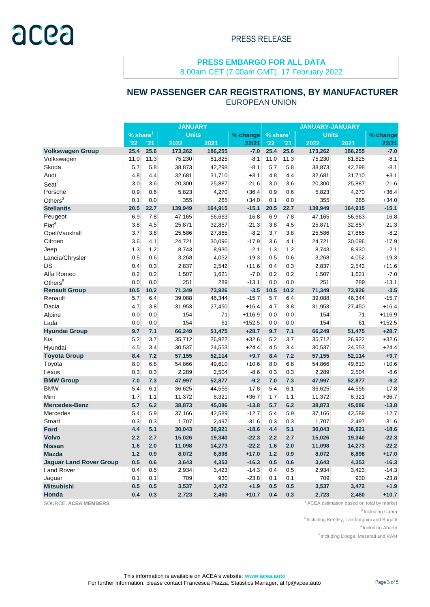8.00am CET (7.00am GMT), 17 February 2022

## **NEW PASSENGER CAR REGISTRATIONS, BY MANUFACTURER**

|                                |                        |      | <b>JANUARY</b> |         |          |                        |      | <b>JANUARY-JANUARY</b> |         |          |
|--------------------------------|------------------------|------|----------------|---------|----------|------------------------|------|------------------------|---------|----------|
|                                | $%$ share <sup>1</sup> |      | <b>Units</b>   |         | % change | $%$ share <sup>1</sup> |      | <b>Units</b>           |         | % change |
|                                | '22                    | '21  | 2022           | 2021    | 22/21    | '22                    | '21  | 2022                   | 2021    | 22/21    |
| <b>Volkswagen Group</b>        | 25.4                   | 25.6 | 173,262        | 186,255 | $-7.0$   | 25.4                   | 25.6 | 173,262                | 186,255 | $-7.0$   |
| Volkswagen                     | 11.0                   | 11.3 | 75,230         | 81,825  | $-8.1$   | 11.0                   | 11.3 | 75,230                 | 81,825  | $-8.1$   |
| Skoda                          | 5.7                    | 5.8  | 38,873         | 42,298  | $-8.1$   | 5.7                    | 5.8  | 38,873                 | 42,298  | $-8.1$   |
| Audi                           | 4.8                    | 4.4  | 32,681         | 31,710  | $+3.1$   | 4.8                    | 4.4  | 32,681                 | 31,710  | $+3.1$   |
| Sear <sup>2</sup>              | 3.0                    | 3.6  | 20,300         | 25,887  | $-21.6$  | 3.0                    | 3.6  | 20,300                 | 25,887  | $-21.6$  |
| Porsche                        | 0.9                    | 0.6  | 5,823          | 4,270   | $+36.4$  | 0.9                    | 0.6  | 5,823                  | 4,270   | $+36.4$  |
| Others $3$                     | 0.1                    | 0.0  | 355            | 265     | $+34.0$  | 0.1                    | 0.0  | 355                    | 265     | $+34.0$  |
| <b>Stellantis</b>              | 20.5                   | 22.7 | 139,949        | 164,915 | $-15.1$  | 20.5                   | 22.7 | 139,949                | 164,915 | $-15.1$  |
| Peugeot                        | 6.9                    | 7.8  | 47,165         | 56,663  | $-16.8$  | 6.9                    | 7.8  | 47,165                 | 56,663  | $-16.8$  |
| $\mathsf{Fiat}^4$              | 3.8                    | 4.5  | 25,871         | 32,857  | $-21.3$  | 3.8                    | 4.5  | 25,871                 | 32,857  | $-21.3$  |
| Opel/Vauxhall                  | 3.7                    | 3.8  | 25,586         | 27,865  | $-8.2$   | 3.7                    | 3.8  | 25,586                 | 27,865  | $-8.2$   |
| Citroen                        | 3.6                    | 4.1  | 24,721         | 30,096  | $-17.9$  | 3.6                    | 4.1  | 24,721                 | 30,096  | $-17.9$  |
| Jeep                           | 1.3                    | 1.2  | 8,743          | 8,930   | $-2.1$   | 1.3                    | 1.2  | 8,743                  | 8,930   | $-2.1$   |
| Lancia/Chrysler                | 0.5                    | 0.6  | 3,268          | 4,052   | $-19.3$  | 0.5                    | 0.6  | 3,268                  | 4,052   | $-19.3$  |
| DS                             | 0.4                    | 0.3  | 2,837          | 2,542   | $+11.6$  | 0.4                    | 0.3  | 2,837                  | 2,542   | $+11.6$  |
| Alfa Romeo                     | 0.2                    | 0.2  | 1,507          | 1,621   | $-7.0$   | 0.2                    | 0.2  | 1,507                  | 1,621   | $-7.0$   |
| Others $5$                     | 0.0                    | 0.0  | 251            | 289     | $-13.1$  | 0.0                    | 0.0  | 251                    | 289     | $-13.1$  |
| <b>Renault Group</b>           | 10.5                   | 10.2 | 71,349         | 73,926  | $-3.5$   | 10.5                   | 10.2 | 71,349                 | 73,926  | $-3.5$   |
| Renault                        | 5.7                    | 6.4  | 39,088         | 46,344  | $-15.7$  | 5.7                    | 6.4  | 39,088                 | 46,344  | $-15.7$  |
| Dacia                          | 4.7                    | 3.8  | 31,953         | 27,450  | $+16.4$  | 4.7                    | 3.8  | 31,953                 | 27,450  | $+16.4$  |
| Alpine                         | 0.0                    | 0.0  | 154            | 71      | $+116.9$ | 0.0                    | 0.0  | 154                    | 71      | $+116.9$ |
| Lada                           | 0.0                    | 0.0  | 154            | 61      | $+152.5$ | 0.0                    | 0.0  | 154                    | 61      | $+152.5$ |
| <b>Hyundai Group</b>           | 9.7                    | 7.1  | 66,249         | 51,475  | $+28.7$  | 9.7                    | 7.1  | 66,249                 | 51,475  | $+28.7$  |
| Kia                            | 5.2                    | 3.7  | 35,712         | 26,922  | $+32.6$  | 5.2                    | 3.7  | 35,712                 | 26,922  | $+32.6$  |
| Hyundai                        | 4.5                    | 3.4  | 30,537         | 24,553  | $+24.4$  | 4.5                    | 3.4  | 30,537                 | 24,553  | $+24.4$  |
| <b>Toyota Group</b>            | 8.4                    | 7.2  | 57,155         | 52,114  | $+9.7$   | 8.4                    | 7.2  | 57,155                 | 52,114  | $+9.7$   |
| Toyota                         | 8.0                    | 6.8  | 54,866         | 49,610  | $+10.6$  | 8.0                    | 6.8  | 54,866                 | 49,610  | $+10.6$  |
| Lexus                          | 0.3                    | 0.3  | 2,289          | 2,504   | $-8.6$   | 0.3                    | 0.3  | 2,289                  | 2,504   | $-8.6$   |
| <b>BMW Group</b>               | 7.0                    | 7.3  | 47,997         | 52,877  | $-9.2$   | 7.0                    | 7.3  | 47,997                 | 52,877  | $-9.2$   |
| <b>BMW</b>                     | 5.4                    | 6.1  | 36,625         | 44,556  | $-17.8$  | 5.4                    | 6.1  | 36,625                 | 44,556  | $-17.8$  |
| Mini                           | 1.7                    | 1.1  | 11,372         | 8,321   | $+36.7$  | 1.7                    | 1.1  | 11,372                 | 8,321   | $+36.7$  |
| <b>Mercedes-Benz</b>           | 5.7                    | 6.2  | 38,873         | 45,086  | $-13.8$  | 5.7                    | 6.2  | 38,873                 | 45,086  | $-13.8$  |
| Mercedes                       | 5.4                    | 5.9  | 37,166         | 42,589  | $-12.7$  | 5.4                    | 5.9  | 37,166                 | 42,589  | $-12.7$  |
| Smart                          | 0.3                    | 0.3  | 1,707          | 2,497   | $-31.6$  | 0.3                    | 0.3  | 1,707                  | 2,497   | $-31.6$  |
| <b>Ford</b>                    | 4.4                    | 5.1  | 30,043         | 36,921  | $-18.6$  | 4.4                    | 5.1  | 30,043                 | 36,921  | $-18.6$  |
| Volvo                          | 2.2                    | 2.7  | 15,026         | 19,340  | $-22.3$  | 2.2                    | 2.7  | 15,026                 | 19,340  | $-22.3$  |
| <b>Nissan</b>                  | 1.6                    | 2.0  | 11,098         | 14,273  | $-22.2$  | 1.6                    | 2.0  | 11,098                 | 14,273  | $-22.2$  |
| <b>Mazda</b>                   | $1.2$                  | 0.9  | 8,072          | 6,898   | $+17.0$  | 1.2                    | 0.9  | 8,072                  | 6,898   | $+17.0$  |
| <b>Jaguar Land Rover Group</b> | 0.5                    | 0.6  | 3,643          | 4,353   | $-16.3$  | 0.5                    | 0.6  | 3,643                  | 4,353   | $-16.3$  |
| <b>Land Rover</b>              | 0.4                    | 0.5  | 2,934          | 3,423   | $-14.3$  | 0.4                    | 0.5  | 2,934                  | 3,423   | $-14.3$  |
| Jaguar                         | 0.1                    | 0.1  | 709            | 930     | $-23.8$  | 0.1                    | 0.1  | 709                    | 930     | $-23.8$  |
| <b>Mitsubishi</b>              | 0.5                    | 0.5  | 3,537          | 3,472   | $+1.9$   | 0.5                    | 0.5  | 3,537                  | 3,472   | $+1.9$   |
| Honda                          | 0.4                    | 0.3  | 2,723          | 2,460   | $+10.7$  | 0.4                    | 0.3  | 2,723                  | 2,460   | $+10.7$  |

EUROPEAN UNION

SOURCE: ACEA MEMBERS **1** ACEA estimation based on total by market

 $2$ Including Cupra

<sup>3</sup> Including Bentley, Lamborghini and Bugatti

<sup>4</sup> Including Abarth

<sup>5</sup> Including Dodge, Maserati and RAM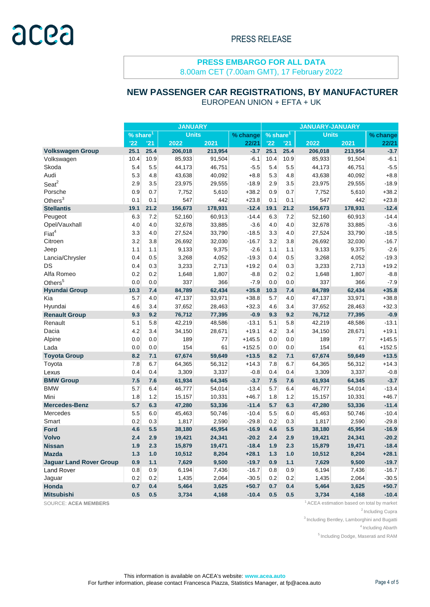8.00am CET (7.00am GMT), 17 February 2022

# **NEW PASSENGER CAR REGISTRATIONS, BY MANUFACTURER**

EUROPEAN UNION + EFTA + UK

|                                | <b>JANUARY</b>                         |      |          |                      | <b>JANUARY-JANUARY</b> |              |      |          |         |          |
|--------------------------------|----------------------------------------|------|----------|----------------------|------------------------|--------------|------|----------|---------|----------|
|                                | <b>Units</b><br>$%$ share <sup>1</sup> |      | % change | % share <sup>1</sup> |                        | <b>Units</b> |      | % change |         |          |
|                                | '22                                    | 21   | 2022     | 2021                 | 22/21                  | '22          | '21  | 2022     | 2021    | 22/21    |
| <b>Volkswagen Group</b>        | 25.1                                   | 25.4 | 206,018  | 213,954              | $-3.7$                 | 25.1         | 25.4 | 206,018  | 213,954 | $-3.7$   |
| Volkswagen                     | 10.4                                   | 10.9 | 85,933   | 91,504               | $-6.1$                 | 10.4         | 10.9 | 85,933   | 91,504  | $-6.1$   |
| Skoda                          | 5.4                                    | 5.5  | 44,173   | 46,751               | $-5.5$                 | 5.4          | 5.5  | 44,173   | 46,751  | $-5.5$   |
| Audi                           | 5.3                                    | 4.8  | 43,638   | 40,092               | $+8.8$                 | 5.3          | 4.8  | 43,638   | 40,092  | $+8.8$   |
| $S$ eat $2$                    | 2.9                                    | 3.5  | 23,975   | 29,555               | $-18.9$                | 2.9          | 3.5  | 23,975   | 29,555  | $-18.9$  |
| Porsche                        | 0.9                                    | 0.7  | 7,752    | 5,610                | $+38.2$                | 0.9          | 0.7  | 7,752    | 5,610   | $+38.2$  |
| Others $3$                     | 0.1                                    | 0.1  | 547      | 442                  | $+23.8$                | 0.1          | 0.1  | 547      | 442     | $+23.8$  |
| <b>Stellantis</b>              | 19.1                                   | 21.2 | 156,673  | 178,931              | $-12.4$                | 19.1         | 21.2 | 156,673  | 178,931 | $-12.4$  |
| Peugeot                        | 6.3                                    | 7.2  | 52,160   | 60,913               | $-14.4$                | 6.3          | 7.2  | 52,160   | 60,913  | $-14.4$  |
| Opel/Vauxhall                  | 4.0                                    | 4.0  | 32,678   | 33,885               | $-3.6$                 | 4.0          | 4.0  | 32,678   | 33,885  | $-3.6$   |
| Fiat <sup>4</sup>              | 3.3                                    | 4.0  | 27,524   | 33,790               | $-18.5$                | 3.3          | 4.0  | 27,524   | 33,790  | $-18.5$  |
| Citroen                        | 3.2                                    | 3.8  | 26,692   | 32,030               | $-16.7$                | 3.2          | 3.8  | 26,692   | 32,030  | $-16.7$  |
| Jeep                           | 1.1                                    | 1.1  | 9,133    | 9,375                | $-2.6$                 | 1.1          | 1.1  | 9,133    | 9,375   | $-2.6$   |
| Lancia/Chrysler                | 0.4                                    | 0.5  | 3,268    | 4,052                | $-19.3$                | 0.4          | 0.5  | 3,268    | 4,052   | $-19.3$  |
| DS                             | 0.4                                    | 0.3  | 3,233    | 2,713                | $+19.2$                | 0.4          | 0.3  | 3,233    | 2,713   | $+19.2$  |
| Alfa Romeo                     | 0.2                                    | 0.2  | 1,648    | 1,807                | $-8.8$                 | 0.2          | 0.2  | 1,648    | 1,807   | $-8.8$   |
| Others <sup>5</sup>            | 0.0                                    | 0.0  | 337      | 366                  | $-7.9$                 | 0.0          | 0.0  | 337      | 366     | $-7.9$   |
| <b>Hyundai Group</b>           | 10.3                                   | 7.4  | 84,789   | 62,434               | $+35.8$                | 10.3         | 7.4  | 84,789   | 62,434  | $+35.8$  |
| Kia                            | 5.7                                    | 4.0  | 47,137   | 33,971               | $+38.8$                | 5.7          | 4.0  | 47,137   | 33,971  | $+38.8$  |
| Hyundai                        | 4.6                                    | 3.4  | 37,652   | 28,463               | $+32.3$                | 4.6          | 3.4  | 37,652   | 28,463  | $+32.3$  |
| <b>Renault Group</b>           | 9.3                                    | 9.2  | 76,712   | 77,395               | $-0.9$                 | 9.3          | 9.2  | 76,712   | 77,395  | $-0.9$   |
| Renault                        | 5.1                                    | 5.8  | 42,219   | 48,586               | $-13.1$                | 5.1          | 5.8  | 42,219   | 48,586  | $-13.1$  |
| Dacia                          | 4.2                                    | 3.4  | 34,150   | 28,671               | $+19.1$                | 4.2          | 3.4  | 34,150   | 28,671  | $+19.1$  |
| Alpine                         | 0.0                                    | 0.0  | 189      | 77                   | $+145.5$               | 0.0          | 0.0  | 189      | 77      | $+145.5$ |
| Lada                           | 0.0                                    | 0.0  | 154      | 61                   | $+152.5$               | 0.0          | 0.0  | 154      | 61      | $+152.5$ |
| <b>Toyota Group</b>            | 8.2                                    | 7.1  | 67,674   | 59,649               | $+13.5$                | 8.2          | 7.1  | 67,674   | 59,649  | $+13.5$  |
| Toyota                         | 7.8                                    | 6.7  | 64,365   | 56,312               | $+14.3$                | 7.8          | 6.7  | 64,365   | 56,312  | $+14.3$  |
| Lexus                          | 0.4                                    | 0.4  | 3,309    | 3,337                | $-0.8$                 | 0.4          | 0.4  | 3,309    | 3,337   | $-0.8$   |
| <b>BMW Group</b>               | 7.5                                    | 7.6  | 61,934   | 64,345               | $-3.7$                 | 7.5          | 7.6  | 61,934   | 64,345  | $-3.7$   |
| <b>BMW</b>                     | 5.7                                    | 6.4  | 46,777   | 54,014               | $-13.4$                | 5.7          | 6.4  | 46,777   | 54,014  | $-13.4$  |
| Mini                           | 1.8                                    | 1.2  | 15,157   | 10,331               | $+46.7$                | 1.8          | 1.2  | 15,157   | 10,331  | $+46.7$  |
| <b>Mercedes-Benz</b>           | 5.7                                    | 6.3  | 47,280   | 53,336               | $-11.4$                | 5.7          | 6.3  | 47,280   | 53,336  | $-11.4$  |
| Mercedes                       | 5.5                                    | 6.0  | 45,463   | 50,746               | $-10.4$                | 5.5          | 6.0  | 45,463   | 50,746  | $-10.4$  |
| Smart                          | 0.2                                    | 0.3  | 1,817    | 2,590                | $-29.8$                | 0.2          | 0.3  | 1,817    | 2,590   | $-29.8$  |
| <b>Ford</b>                    | 4.6                                    | 5.5  | 38,180   | 45,954               | $-16.9$                | 4.6          | 5.5  | 38,180   | 45,954  | $-16.9$  |
| <b>Volvo</b>                   | 2.4                                    | 2.9  | 19,421   | 24,341               | $-20.2$                | 2.4          | 2.9  | 19,421   | 24,341  | $-20.2$  |
| <b>Nissan</b>                  | 1.9                                    | 2.3  | 15,879   | 19,471               | $-18.4$                | 1.9          | 2.3  | 15,879   | 19,471  | $-18.4$  |
| <b>Mazda</b>                   | 1.3                                    | 1.0  | 10,512   | 8,204                | $+28.1$                | 1.3          | 1.0  | 10,512   | 8,204   | $+28.1$  |
| <b>Jaguar Land Rover Group</b> | 0.9                                    | 1.1  | 7,629    | 9,500                | $-19.7$                | 0.9          | 1.1  | 7,629    | 9,500   | $-19.7$  |
| <b>Land Rover</b>              | 0.8                                    | 0.9  | 6,194    | 7,436                | $-16.7$                | 0.8          | 0.9  | 6,194    | 7,436   | $-16.7$  |
| Jaguar                         | 0.2                                    | 0.2  | 1,435    | 2,064                | $-30.5$                | 0.2          | 0.2  | 1,435    | 2,064   | $-30.5$  |
| Honda                          | 0.7                                    | 0.4  | 5,464    | 3,625                | $+50.7$                | 0.7          | 0.4  | 5,464    | 3,625   | $+50.7$  |
| <b>Mitsubishi</b>              | 0.5                                    | 0.5  | 3,734    | 4,168                | $-10.4$                | 0.5          | 0.5  | 3,734    | 4,168   | $-10.4$  |

SOURCE: ACEA MEMBERS **1** ACEA estimation based on total by market

<sup>2</sup> Including Cupra

 $3$  Including Bentley, Lamborghini and Bugatti

<sup>4</sup> Including Abarth

<sup>5</sup> Including Dodge, Maserati and RAM